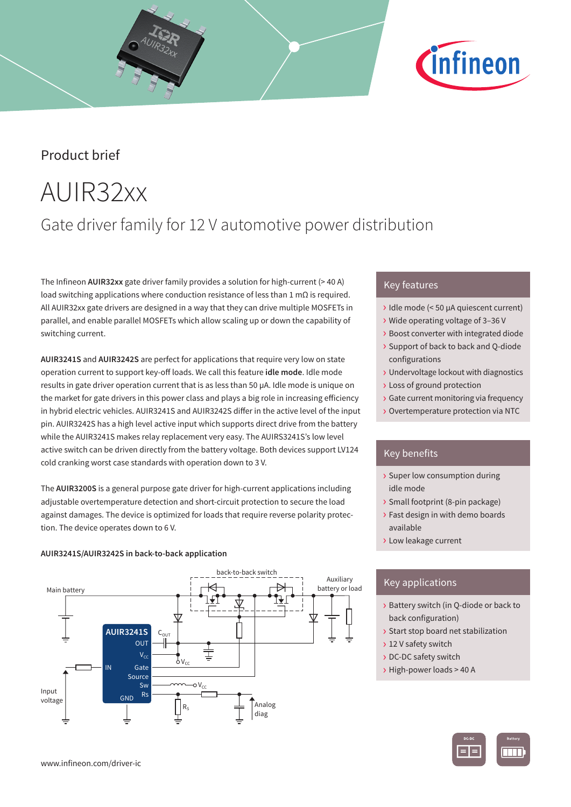### Product brief

# AUIR32xx

### Gate driver family for 12 V automotive power distribution

The Infineon **AUIR32xx** gate driver family provides a solution for high-current (> 40 A) load switching applications where conduction resistance of less than 1 mΩ is required. All AUIR32xx gate drivers are designed in a way that they can drive multiple MOSFETs in parallel, and enable parallel MOSFETs which allow scaling up or down the capability of switching current.

**AUIR3241S** and **AUIR3242S** are perfect for applications that require very low on state operation current to support key-off loads. We call this feature **idle mode**. Idle mode results in gate driver operation current that is as less than 50 µA. Idle mode is unique on the market for gate drivers in this power class and plays a big role in increasing efficiency in hybrid electric vehicles. AUIR3241S and AUIR3242S differ in the active level of the input pin. AUIR3242S has a high level active input which supports direct drive from the battery while the AUIR3241S makes relay replacement very easy. The AUIRS3241S's low level active switch can be driven directly from the battery voltage. Both devices support LV124 cold cranking worst case standards with operation down to 3 V.

The **AUIR3200S** is a general purpose gate driver for high-current applications including adjustable overtemperature detection and short-circuit protection to secure the load against damages. The device is optimized for loads that require reverse polarity protection. The device operates down to 6 V.

### **AUIR3241S/AUIR3242S in back-to-back application**



### Key features

› Idle mode (< 50 µA quiescent current)

*Cinfineon* 

- › Wide operating voltage of 3–36 V
- › Boost converter with integrated diode
- › Support of back to back and Q-diode configurations
- › Undervoltage lockout with diagnostics
- › Loss of ground protection
- › Gate current monitoring via frequency
- › Overtemperature protection via NTC

### Key benefits

- › Super low consumption during idle mode
- › Small footprint (8-pin package)
- › Fast design in with demo boards available
- › Low leakage current

### Key applications

- › Battery switch (in Q-diode or back to back configuration)
- › Start stop board net stabilization
- › 12 V safety switch
- › DC-DC safety switch
- › High-power loads > 40 A